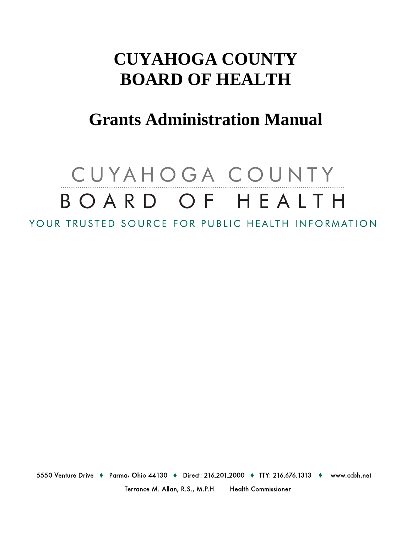# **CUYAHOGA COUNTY BOARD OF HEALTH**

## **Grants Administration Manual**

# CUYAHOGA COUNTY BOARD OF HEALTH YOUR TRUSTED SOURCE FOR PUBLIC HEALTH INFORMATION

5550 Venture Drive • Parma, Ohio 44130 • Direct: 216.201.2000 • TTY: 216.676.1313 • www.ccbh.net

Terrance M. Allan, R.S., M.P.H. **Health Commissioner**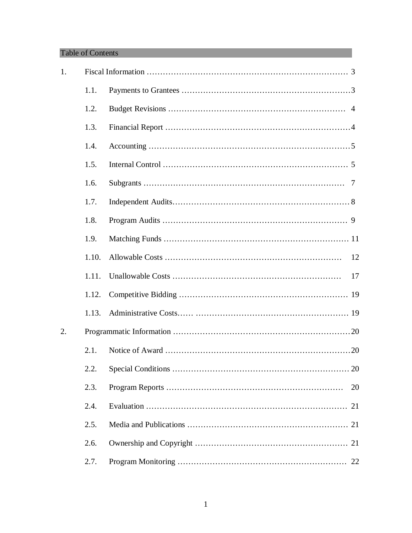#### Table of Contents

| 1. |       |    |
|----|-------|----|
|    | 1.1.  |    |
|    | 1.2.  |    |
|    | 1.3.  |    |
|    | 1.4.  |    |
|    | 1.5.  |    |
|    | 1.6.  |    |
|    | 1.7.  |    |
|    | 1.8.  |    |
|    | 1.9.  |    |
|    | 1.10. | 12 |
|    | 1.11. | 17 |
|    | 1.12. |    |
|    | 1.13. |    |
| 2. |       |    |
|    | 2.1.  |    |
|    | 2.2.  |    |
|    | 2.3.  | 20 |
|    | 2.4.  |    |
|    | 2.5.  |    |
|    | 2.6.  |    |
|    | 2.7.  |    |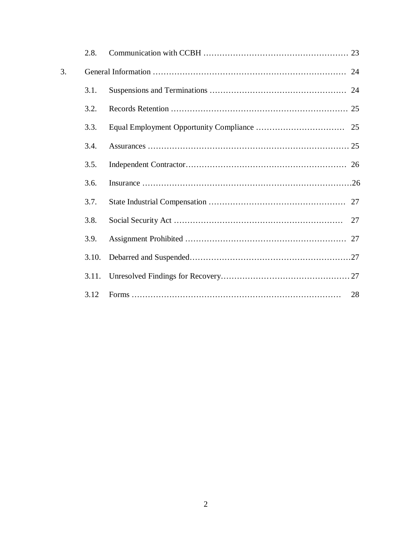|    | 2.8.  |    |
|----|-------|----|
| 3. |       |    |
|    | 3.1.  |    |
|    | 3.2.  |    |
|    | 3.3.  |    |
|    | 3.4.  |    |
|    | 3.5.  |    |
|    | 3.6.  |    |
|    | 3.7.  |    |
|    | 3.8.  | 27 |
|    | 3.9.  |    |
|    | 3.10. |    |
|    | 3.11. |    |
|    | 3.12  |    |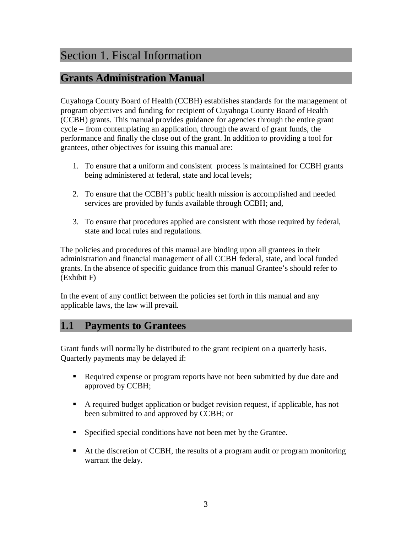#### Section 1. Fiscal Information

#### **Grants Administration Manual**

Cuyahoga County Board of Health (CCBH) establishes standards for the management of program objectives and funding for recipient of Cuyahoga County Board of Health (CCBH) grants. This manual provides guidance for agencies through the entire grant cycle – from contemplating an application, through the award of grant funds, the performance and finally the close out of the grant. In addition to providing a tool for grantees, other objectives for issuing this manual are:

- 1. To ensure that a uniform and consistent process is maintained for CCBH grants being administered at federal, state and local levels;
- 2. To ensure that the CCBH's public health mission is accomplished and needed services are provided by funds available through CCBH; and,
- 3. To ensure that procedures applied are consistent with those required by federal, state and local rules and regulations.

The policies and procedures of this manual are binding upon all grantees in their administration and financial management of all CCBH federal, state, and local funded grants. In the absence of specific guidance from this manual Grantee's should refer to (Exhibit F)

In the event of any conflict between the policies set forth in this manual and any applicable laws, the law will prevail.

#### **1.1 Payments to Grantees**

Grant funds will normally be distributed to the grant recipient on a quarterly basis. Quarterly payments may be delayed if:

- Required expense or program reports have not been submitted by due date and approved by CCBH;
- A required budget application or budget revision request, if applicable, has not been submitted to and approved by CCBH; or
- **Specified special conditions have not been met by the Grantee.**
- At the discretion of CCBH, the results of a program audit or program monitoring warrant the delay.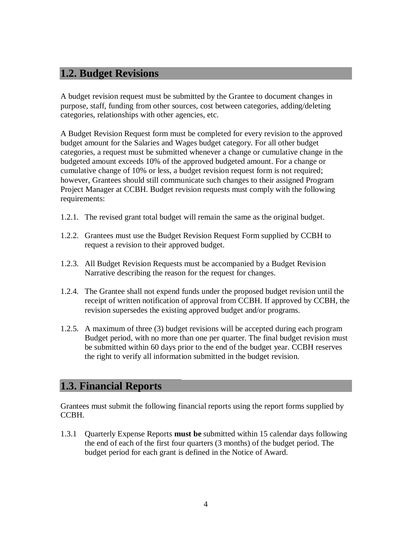#### **1.2. Budget Revisions**

A budget revision request must be submitted by the Grantee to document changes in purpose, staff, funding from other sources, cost between categories, adding/deleting categories, relationships with other agencies, etc.

A Budget Revision Request form must be completed for every revision to the approved budget amount for the Salaries and Wages budget category. For all other budget categories, a request must be submitted whenever a change or cumulative change in the budgeted amount exceeds 10% of the approved budgeted amount. For a change or cumulative change of 10% or less, a budget revision request form is not required; however, Grantees should still communicate such changes to their assigned Program Project Manager at CCBH. Budget revision requests must comply with the following requirements:

- 1.2.1. The revised grant total budget will remain the same as the original budget.
- 1.2.2. Grantees must use the Budget Revision Request Form supplied by CCBH to request a revision to their approved budget.
- 1.2.3. All Budget Revision Requests must be accompanied by a Budget Revision Narrative describing the reason for the request for changes.
- 1.2.4. The Grantee shall not expend funds under the proposed budget revision until the receipt of written notification of approval from CCBH. If approved by CCBH, the revision supersedes the existing approved budget and/or programs.
- 1.2.5. A maximum of three (3) budget revisions will be accepted during each program Budget period, with no more than one per quarter. The final budget revision must be submitted within 60 days prior to the end of the budget year. CCBH reserves the right to verify all information submitted in the budget revision.

#### **1.3. Financial Reports**

Grantees must submit the following financial reports using the report forms supplied by CCBH.

1.3.1 Quarterly Expense Reports **must be** submitted within 15 calendar days following the end of each of the first four quarters (3 months) of the budget period. The budget period for each grant is defined in the Notice of Award.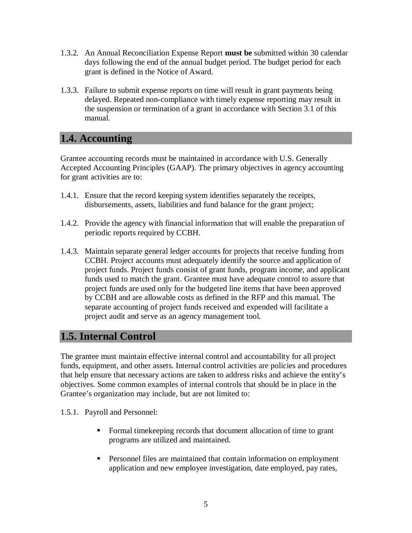- 1.3.2. An Annual Reconciliation Expense Report **must be** submitted within 30 calendar days following the end of the annual budget period. The budget period for each grant is defined in the Notice of Award.
- 1.3.3. Failure to submit expense reports on time will result in grant payments being delayed. Repeated non-compliance with timely expense reporting may result in the suspension or termination of a grant in accordance with Section 3.1 of this manual.

#### **1.4. Accounting**

Grantee accounting records must be maintained in accordance with U.S. Generally Accepted Accounting Principles (GAAP). The primary objectives in agency accounting for grant activities are to:

- 1.4.1. Ensure that the record keeping system identifies separately the receipts, disbursements, assets, liabilities and fund balance for the grant project;
- 1.4.2. Provide the agency with financial information that will enable the preparation of periodic reports required by CCBH.
- 1.4.3. Maintain separate general ledger accounts for projects that receive funding from CCBH. Project accounts must adequately identify the source and application of project funds. Project funds consist of grant funds, program income, and applicant funds used to match the grant. Grantee must have adequate control to assure that project funds are used only for the budgeted line items that have been approved by CCBH and are allowable costs as defined in the RFP and this manual. The separate accounting of project funds received and expended will facilitate a project audit and serve as an agency management tool.

#### **1.5. Internal Control**

The grantee must maintain effective internal control and accountability for all project funds, equipment, and other assets. Internal control activities are policies and procedures that help ensure that necessary actions are taken to address risks and achieve the entity's objectives. Some common examples of internal controls that should be in place in the Grantee's organization may include, but are not limited to:

1.5.1. Payroll and Personnel:

- Formal time keeping records that document allocation of time to grant programs are utilized and maintained.
- **Personnel files are maintained that contain information on employment** application and new employee investigation, date employed, pay rates,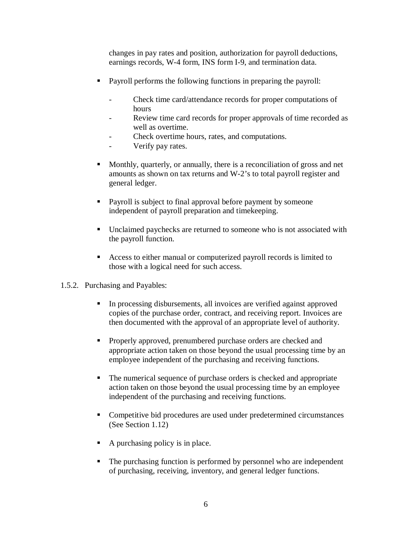changes in pay rates and position, authorization for payroll deductions, earnings records, W-4 form, INS form I-9, and termination data.

- Payroll performs the following functions in preparing the payroll:
	- Check time card/attendance records for proper computations of hours
	- Review time card records for proper approvals of time recorded as well as overtime.
	- Check overtime hours, rates, and computations.
	- Verify pay rates.
- Monthly, quarterly, or annually, there is a reconciliation of gross and net amounts as shown on tax returns and W-2's to total payroll register and general ledger.
- Payroll is subject to final approval before payment by someone independent of payroll preparation and timekeeping.
- Unclaimed paychecks are returned to someone who is not associated with the payroll function.
- Access to either manual or computerized payroll records is limited to those with a logical need for such access.
- 1.5.2. Purchasing and Payables:
	- In processing disbursements, all invoices are verified against approved copies of the purchase order, contract, and receiving report. Invoices are then documented with the approval of an appropriate level of authority.
	- **Properly approved, prenumbered purchase orders are checked and** appropriate action taken on those beyond the usual processing time by an employee independent of the purchasing and receiving functions.
	- The numerical sequence of purchase orders is checked and appropriate action taken on those beyond the usual processing time by an employee independent of the purchasing and receiving functions.
	- Competitive bid procedures are used under predetermined circumstances (See Section 1.12)
	- A purchasing policy is in place.
	- The purchasing function is performed by personnel who are independent of purchasing, receiving, inventory, and general ledger functions.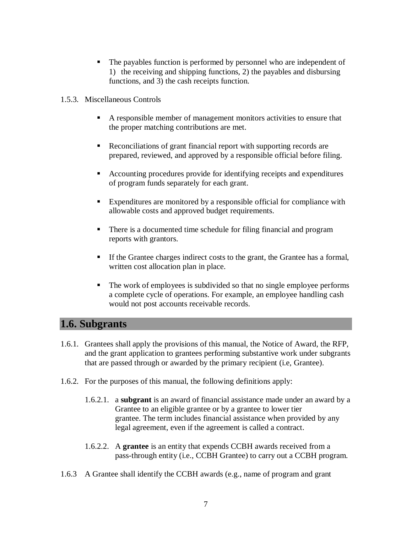- The payables function is performed by personnel who are independent of 1) the receiving and shipping functions, 2) the payables and disbursing functions, and 3) the cash receipts function.
- 1.5.3. Miscellaneous Controls
	- A responsible member of management monitors activities to ensure that the proper matching contributions are met.
	- Reconciliations of grant financial report with supporting records are prepared, reviewed, and approved by a responsible official before filing.
	- Accounting procedures provide for identifying receipts and expenditures of program funds separately for each grant.
	- Expenditures are monitored by a responsible official for compliance with allowable costs and approved budget requirements.
	- There is a documented time schedule for filing financial and program reports with grantors.
	- If the Grantee charges indirect costs to the grant, the Grantee has a formal, written cost allocation plan in place.
	- The work of employees is subdivided so that no single employee performs a complete cycle of operations. For example, an employee handling cash would not post accounts receivable records.

#### **1.6. Subgrants**

- 1.6.1. Grantees shall apply the provisions of this manual, the Notice of Award, the RFP, and the grant application to grantees performing substantive work under subgrants that are passed through or awarded by the primary recipient (i.e, Grantee).
- 1.6.2. For the purposes of this manual, the following definitions apply:
	- 1.6.2.1. a **subgrant** is an award of financial assistance made under an award by a Grantee to an eligible grantee or by a grantee to lower tier grantee. The term includes financial assistance when provided by any legal agreement, even if the agreement is called a contract.
	- 1.6.2.2. A **grantee** is an entity that expends CCBH awards received from a pass-through entity (i.e., CCBH Grantee) to carry out a CCBH program.
- 1.6.3 A Grantee shall identify the CCBH awards (e.g., name of program and grant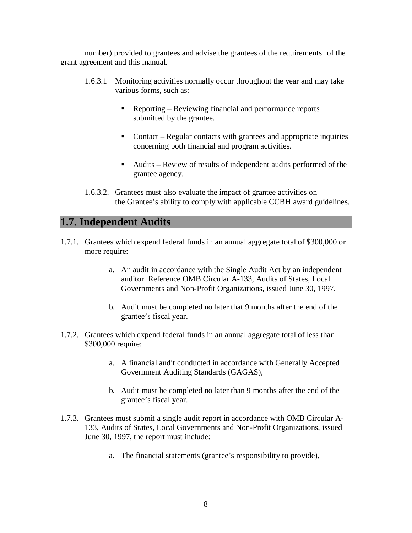number) provided to grantees and advise the grantees of the requirements of the grant agreement and this manual.

- 1.6.3.1 Monitoring activities normally occur throughout the year and may take various forms, such as:
	- Reporting Reviewing financial and performance reports submitted by the grantee.
	- Contact Regular contacts with grantees and appropriate inquiries concerning both financial and program activities.
	- Audits Review of results of independent audits performed of the grantee agency.
- 1.6.3.2. Grantees must also evaluate the impact of grantee activities on the Grantee's ability to comply with applicable CCBH award guidelines.

#### **1.7. Independent Audits**

- 1.7.1. Grantees which expend federal funds in an annual aggregate total of \$300,000 or more require:
	- a. An audit in accordance with the Single Audit Act by an independent auditor. Reference OMB Circular A-133, Audits of States, Local Governments and Non-Profit Organizations, issued June 30, 1997.
	- b. Audit must be completed no later that 9 months after the end of the grantee's fiscal year.
- 1.7.2. Grantees which expend federal funds in an annual aggregate total of less than \$300,000 require:
	- a. A financial audit conducted in accordance with Generally Accepted Government Auditing Standards (GAGAS),
	- b. Audit must be completed no later than 9 months after the end of the grantee's fiscal year.
- 1.7.3. Grantees must submit a single audit report in accordance with OMB Circular A-133, Audits of States, Local Governments and Non-Profit Organizations, issued June 30, 1997, the report must include:
	- a. The financial statements (grantee's responsibility to provide),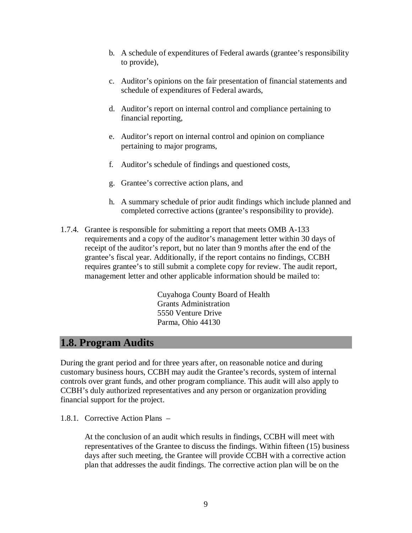- b. A schedule of expenditures of Federal awards (grantee's responsibility to provide),
- c. Auditor's opinions on the fair presentation of financial statements and schedule of expenditures of Federal awards,
- d. Auditor's report on internal control and compliance pertaining to financial reporting,
- e. Auditor's report on internal control and opinion on compliance pertaining to major programs,
- f. Auditor's schedule of findings and questioned costs,
- g. Grantee's corrective action plans, and
- h. A summary schedule of prior audit findings which include planned and completed corrective actions (grantee's responsibility to provide).
- 1.7.4. Grantee is responsible for submitting a report that meets OMB A-133 requirements and a copy of the auditor's management letter within 30 days of receipt of the auditor's report, but no later than 9 months after the end of the grantee's fiscal year. Additionally, if the report contains no findings, CCBH requires grantee's to still submit a complete copy for review. The audit report, management letter and other applicable information should be mailed to:

Cuyahoga County Board of Health Grants Administration 5550 Venture Drive Parma, Ohio 44130

#### **1.8. Program Audits**

During the grant period and for three years after, on reasonable notice and during customary business hours, CCBH may audit the Grantee's records, system of internal controls over grant funds, and other program compliance. This audit will also apply to CCBH's duly authorized representatives and any person or organization providing financial support for the project.

1.8.1. Corrective Action Plans –

At the conclusion of an audit which results in findings, CCBH will meet with representatives of the Grantee to discuss the findings. Within fifteen (15) business days after such meeting, the Grantee will provide CCBH with a corrective action plan that addresses the audit findings. The corrective action plan will be on the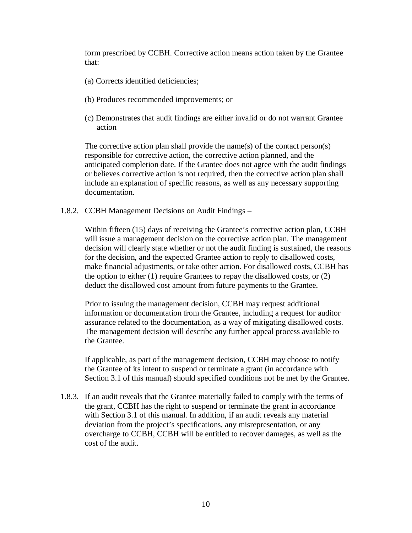form prescribed by CCBH. Corrective action means action taken by the Grantee that:

- (a) Corrects identified deficiencies;
- (b) Produces recommended improvements; or
- (c) Demonstrates that audit findings are either invalid or do not warrant Grantee action

The corrective action plan shall provide the name(s) of the contact person(s) responsible for corrective action, the corrective action planned, and the anticipated completion date. If the Grantee does not agree with the audit findings or believes corrective action is not required, then the corrective action plan shall include an explanation of specific reasons, as well as any necessary supporting documentation.

1.8.2. CCBH Management Decisions on Audit Findings –

Within fifteen (15) days of receiving the Grantee's corrective action plan, CCBH will issue a management decision on the corrective action plan. The management decision will clearly state whether or not the audit finding is sustained, the reasons for the decision, and the expected Grantee action to reply to disallowed costs, make financial adjustments, or take other action. For disallowed costs, CCBH has the option to either (1) require Grantees to repay the disallowed costs, or (2) deduct the disallowed cost amount from future payments to the Grantee.

Prior to issuing the management decision, CCBH may request additional information or documentation from the Grantee, including a request for auditor assurance related to the documentation, as a way of mitigating disallowed costs. The management decision will describe any further appeal process available to the Grantee.

If applicable, as part of the management decision, CCBH may choose to notify the Grantee of its intent to suspend or terminate a grant (in accordance with Section 3.1 of this manual) should specified conditions not be met by the Grantee.

1.8.3. If an audit reveals that the Grantee materially failed to comply with the terms of the grant, CCBH has the right to suspend or terminate the grant in accordance with Section 3.1 of this manual. In addition, if an audit reveals any material deviation from the project's specifications, any misrepresentation, or any overcharge to CCBH, CCBH will be entitled to recover damages, as well as the cost of the audit.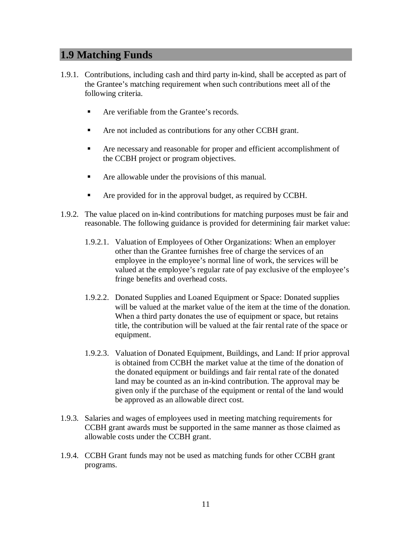#### **1.9 Matching Funds**

- 1.9.1. Contributions, including cash and third party in-kind, shall be accepted as part of the Grantee's matching requirement when such contributions meet all of the following criteria.
	- Are verifiable from the Grantee's records.
	- Are not included as contributions for any other CCBH grant.
	- Are necessary and reasonable for proper and efficient accomplishment of the CCBH project or program objectives.
	- **Are allowable under the provisions of this manual.**
	- **Are provided for in the approval budget, as required by CCBH.**
- 1.9.2. The value placed on in-kind contributions for matching purposes must be fair and reasonable. The following guidance is provided for determining fair market value:
	- 1.9.2.1. Valuation of Employees of Other Organizations: When an employer other than the Grantee furnishes free of charge the services of an employee in the employee's normal line of work, the services will be valued at the employee's regular rate of pay exclusive of the employee's fringe benefits and overhead costs.
	- 1.9.2.2. Donated Supplies and Loaned Equipment or Space: Donated supplies will be valued at the market value of the item at the time of the donation. When a third party donates the use of equipment or space, but retains title, the contribution will be valued at the fair rental rate of the space or equipment.
	- 1.9.2.3. Valuation of Donated Equipment, Buildings, and Land: If prior approval is obtained from CCBH the market value at the time of the donation of the donated equipment or buildings and fair rental rate of the donated land may be counted as an in-kind contribution. The approval may be given only if the purchase of the equipment or rental of the land would be approved as an allowable direct cost.
- 1.9.3. Salaries and wages of employees used in meeting matching requirements for CCBH grant awards must be supported in the same manner as those claimed as allowable costs under the CCBH grant.
- 1.9.4. CCBH Grant funds may not be used as matching funds for other CCBH grant programs.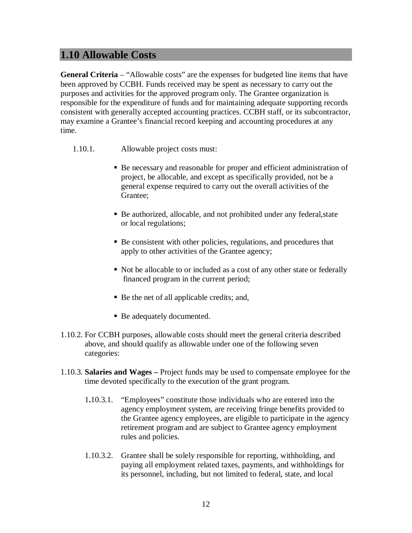#### **1.10 Allowable Costs**

**General Criteria** – "Allowable costs" are the expenses for budgeted line items that have been approved by CCBH. Funds received may be spent as necessary to carry out the purposes and activities for the approved program only. The Grantee organization is responsible for the expenditure of funds and for maintaining adequate supporting records consistent with generally accepted accounting practices. CCBH staff, or its subcontractor, may examine a Grantee's financial record keeping and accounting procedures at any time.

- 1.10.1. Allowable project costs must:
	- Be necessary and reasonable for proper and efficient administration of project, be allocable, and except as specifically provided, not be a general expense required to carry out the overall activities of the Grantee;
	- Be authorized, allocable, and not prohibited under any federal,state or local regulations;
	- Be consistent with other policies, regulations, and procedures that apply to other activities of the Grantee agency;
	- Not be allocable to or included as a cost of any other state or federally financed program in the current period;
	- Be the net of all applicable credits; and,
	- Be adequately documented.
- 1.10.2. For CCBH purposes, allowable costs should meet the general criteria described above, and should qualify as allowable under one of the following seven categories:
- 1.10.3. **Salaries and Wages –** Project funds may be used to compensate employee for the time devoted specifically to the execution of the grant program.
	- 1**.**10.3.1. "Employees" constitute those individuals who are entered into the agency employment system, are receiving fringe benefits provided to the Grantee agency employees, are eligible to participate in the agency retirement program and are subject to Grantee agency employment rules and policies.
	- 1.10.3.2. Grantee shall be solely responsible for reporting, withholding, and paying all employment related taxes, payments, and withholdings for its personnel, including, but not limited to federal, state, and local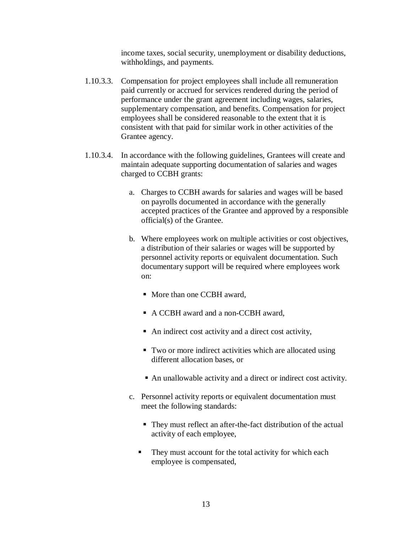income taxes, social security, unemployment or disability deductions, withholdings, and payments.

- 1.10.3.3. Compensation for project employees shall include all remuneration paid currently or accrued for services rendered during the period of performance under the grant agreement including wages, salaries, supplementary compensation, and benefits. Compensation for project employees shall be considered reasonable to the extent that it is consistent with that paid for similar work in other activities of the Grantee agency.
- 1.10.3.4. In accordance with the following guidelines, Grantees will create and maintain adequate supporting documentation of salaries and wages charged to CCBH grants:
	- a. Charges to CCBH awards for salaries and wages will be based on payrolls documented in accordance with the generally accepted practices of the Grantee and approved by a responsible official(s) of the Grantee.
	- b. Where employees work on multiple activities or cost objectives, a distribution of their salaries or wages will be supported by personnel activity reports or equivalent documentation. Such documentary support will be required where employees work on:
		- More than one CCBH award,
		- A CCBH award and a non-CCBH award,
		- An indirect cost activity and a direct cost activity,
		- Two or more indirect activities which are allocated using different allocation bases, or
		- An unallowable activity and a direct or indirect cost activity.
	- c. Personnel activity reports or equivalent documentation must meet the following standards:
		- They must reflect an after-the-fact distribution of the actual activity of each employee,
		- They must account for the total activity for which each employee is compensated,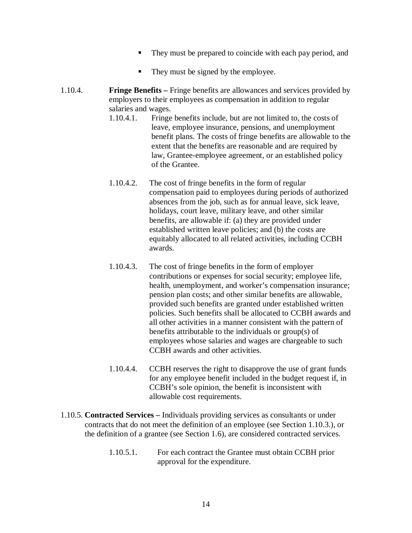- They must be prepared to coincide with each pay period, and
- They must be signed by the employee.
- 1.10.4. **Fringe Benefits –** Fringe benefits are allowances and services provided by employers to their employees as compensation in addition to regular salaries and wages.
	- 1.10.4.1. Fringe benefits include, but are not limited to, the costs of leave, employee insurance, pensions, and unemployment benefit plans. The costs of fringe benefits are allowable to the extent that the benefits are reasonable and are required by law, Grantee-employee agreement, or an established policy of the Grantee.
	- 1.10.4.2. The cost of fringe benefits in the form of regular compensation paid to employees during periods of authorized absences from the job, such as for annual leave, sick leave, holidays, court leave, military leave, and other similar benefits, are allowable if: (a) they are provided under established written leave policies; and (b) the costs are equitably allocated to all related activities, including CCBH awards.
	- 1.10.4.3. The cost of fringe benefits in the form of employer contributions or expenses for social security; employee life, health, unemployment, and worker's compensation insurance; pension plan costs; and other similar benefits are allowable, provided such benefits are granted under established written policies. Such benefits shall be allocated to CCBH awards and all other activities in a manner consistent with the pattern of benefits attributable to the individuals or group(s) of employees whose salaries and wages are chargeable to such CCBH awards and other activities.
	- 1.10.4.4. CCBH reserves the right to disapprove the use of grant funds for any employee benefit included in the budget request if, in CCBH's sole opinion, the benefit is inconsistent with allowable cost requirements.
- 1.10.5. **Contracted Services –** Individuals providing services as consultants or under contracts that do not meet the definition of an employee (see Section 1.10.3.), or the definition of a grantee (see Section 1.6), are considered contracted services.
	- 1.10.5.1. For each contract the Grantee must obtain CCBH prior approval for the expenditure.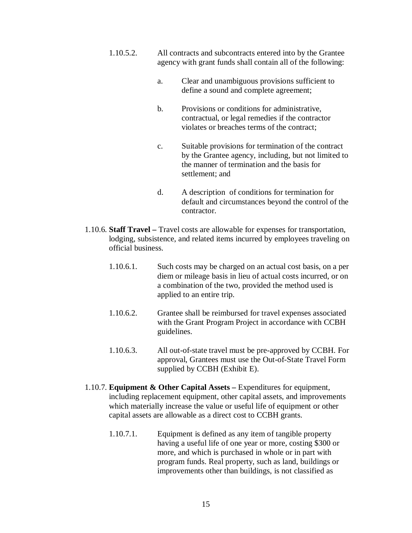- 1.10.5.2. All contracts and subcontracts entered into by the Grantee agency with grant funds shall contain all of the following:
	- a. Clear and unambiguous provisions sufficient to define a sound and complete agreement;
	- b. Provisions or conditions for administrative, contractual, or legal remedies if the contractor violates or breaches terms of the contract;
	- c. Suitable provisions for termination of the contract by the Grantee agency, including, but not limited to the manner of termination and the basis for settlement; and
	- d. A description of conditions for termination for default and circumstances beyond the control of the contractor.
- 1.10.6. **Staff Travel –** Travel costs are allowable for expenses for transportation, lodging, subsistence, and related items incurred by employees traveling on official business.
	- 1.10.6.1. Such costs may be charged on an actual cost basis, on a per diem or mileage basis in lieu of actual costs incurred, or on a combination of the two, provided the method used is applied to an entire trip.
	- 1.10.6.2. Grantee shall be reimbursed for travel expenses associated with the Grant Program Project in accordance with CCBH guidelines.
	- 1.10.6.3. All out-of-state travel must be pre-approved by CCBH. For approval, Grantees must use the Out-of-State Travel Form supplied by CCBH (Exhibit E).
- 1.10.7. **Equipment & Other Capital Assets –** Expenditures for equipment, including replacement equipment, other capital assets, and improvements which materially increase the value or useful life of equipment or other capital assets are allowable as a direct cost to CCBH grants.
	- 1.10.7.1. Equipment is defined as any item of tangible property having a useful life of one year or more, costing \$300 or more, and which is purchased in whole or in part with program funds. Real property, such as land, buildings or improvements other than buildings, is not classified as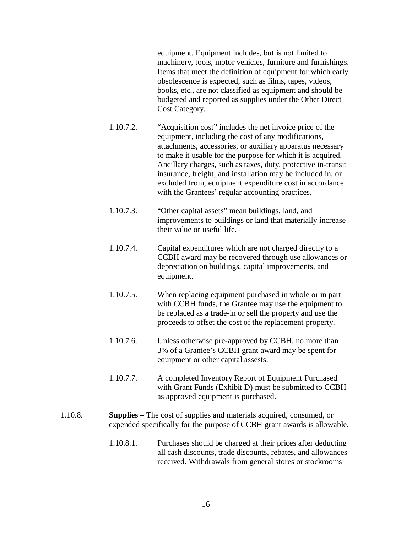equipment. Equipment includes, but is not limited to machinery, tools, motor vehicles, furniture and furnishings. Items that meet the definition of equipment for which early obsolescence is expected, such as films, tapes, videos, books, etc., are not classified as equipment and should be budgeted and reported as supplies under the Other Direct Cost Category.

- 1.10.7.2. "Acquisition cost" includes the net invoice price of the equipment, including the cost of any modifications, attachments, accessories, or auxiliary apparatus necessary to make it usable for the purpose for which it is acquired. Ancillary charges, such as taxes, duty, protective in-transit insurance, freight, and installation may be included in, or excluded from, equipment expenditure cost in accordance with the Grantees' regular accounting practices.
- 1.10.7.3. "Other capital assets" mean buildings, land, and improvements to buildings or land that materially increase their value or useful life.
- 1.10.7.4. Capital expenditures which are not charged directly to a CCBH award may be recovered through use allowances or depreciation on buildings, capital improvements, and equipment.
- 1.10.7.5. When replacing equipment purchased in whole or in part with CCBH funds, the Grantee may use the equipment to be replaced as a trade-in or sell the property and use the proceeds to offset the cost of the replacement property.
- 1.10.7.6. Unless otherwise pre-approved by CCBH, no more than 3% of a Grantee's CCBH grant award may be spent for equipment or other capital assests.
- 1.10.7.7. A completed Inventory Report of Equipment Purchased with Grant Funds (Exhibit D) must be submitted to CCBH as approved equipment is purchased.
- 1.10.8. **Supplies –** The cost of supplies and materials acquired, consumed, or expended specifically for the purpose of CCBH grant awards is allowable.
	- 1.10.8.1. Purchases should be charged at their prices after deducting all cash discounts, trade discounts, rebates, and allowances received. Withdrawals from general stores or stockrooms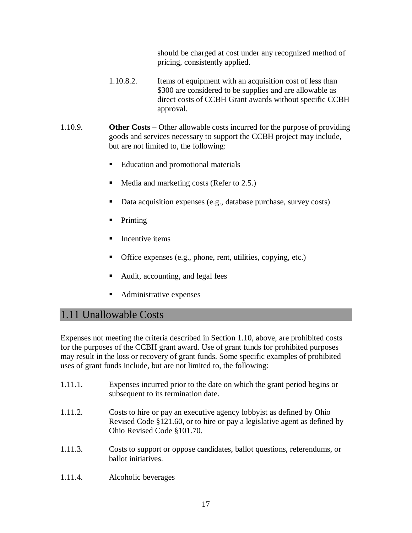should be charged at cost under any recognized method of pricing, consistently applied.

- 1.10.8.2. Items of equipment with an acquisition cost of less than \$300 are considered to be supplies and are allowable as direct costs of CCBH Grant awards without specific CCBH approval.
- 1.10.9. **Other Costs** Other allowable costs incurred for the purpose of providing goods and services necessary to support the CCBH project may include, but are not limited to, the following:
	- Education and promotional materials
	- Media and marketing costs (Refer to 2.5.)
	- Data acquisition expenses (e.g., database purchase, survey costs)
	- Printing
	- Incentive items
	- Office expenses (e.g., phone, rent, utilities, copying, etc.)
	- Audit, accounting, and legal fees
	- Administrative expenses

#### 1.11 Unallowable Costs

Expenses not meeting the criteria described in Section 1.10, above, are prohibited costs for the purposes of the CCBH grant award. Use of grant funds for prohibited purposes may result in the loss or recovery of grant funds. Some specific examples of prohibited uses of grant funds include, but are not limited to, the following:

- 1.11.1. Expenses incurred prior to the date on which the grant period begins or subsequent to its termination date.
- 1.11.2. Costs to hire or pay an executive agency lobbyist as defined by Ohio Revised Code §121.60, or to hire or pay a legislative agent as defined by Ohio Revised Code §101.70.
- 1.11.3. Costs to support or oppose candidates, ballot questions, referendums, or ballot initiatives.
- 1.11.4. Alcoholic beverages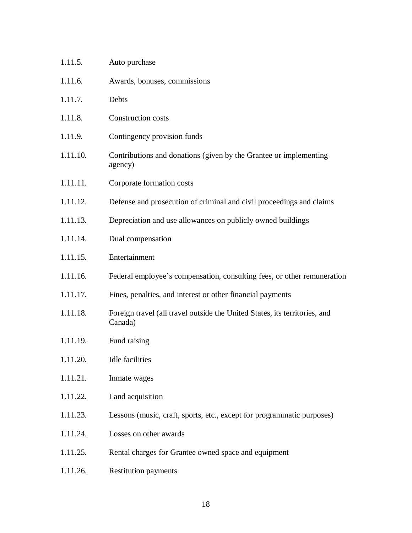| 1.11.5.  | Auto purchase                                                                         |
|----------|---------------------------------------------------------------------------------------|
| 1.11.6.  | Awards, bonuses, commissions                                                          |
| 1.11.7.  | Debts                                                                                 |
| 1.11.8.  | Construction costs                                                                    |
| 1.11.9.  | Contingency provision funds                                                           |
| 1.11.10. | Contributions and donations (given by the Grantee or implementing<br>agency)          |
| 1.11.11. | Corporate formation costs                                                             |
| 1.11.12. | Defense and prosecution of criminal and civil proceedings and claims                  |
| 1.11.13. | Depreciation and use allowances on publicly owned buildings                           |
| 1.11.14. | Dual compensation                                                                     |
| 1.11.15. | Entertainment                                                                         |
| 1.11.16. | Federal employee's compensation, consulting fees, or other remuneration               |
| 1.11.17. | Fines, penalties, and interest or other financial payments                            |
| 1.11.18. | Foreign travel (all travel outside the United States, its territories, and<br>Canada) |
| 1.11.19. | Fund raising                                                                          |
| 1.11.20. | Idle facilities                                                                       |
| 1.11.21. | Inmate wages                                                                          |
| 1.11.22. | Land acquisition                                                                      |
| 1.11.23. | Lessons (music, craft, sports, etc., except for programmatic purposes)                |
| 1.11.24. | Losses on other awards                                                                |
| 1.11.25. | Rental charges for Grantee owned space and equipment                                  |
| 1.11.26. | <b>Restitution payments</b>                                                           |

18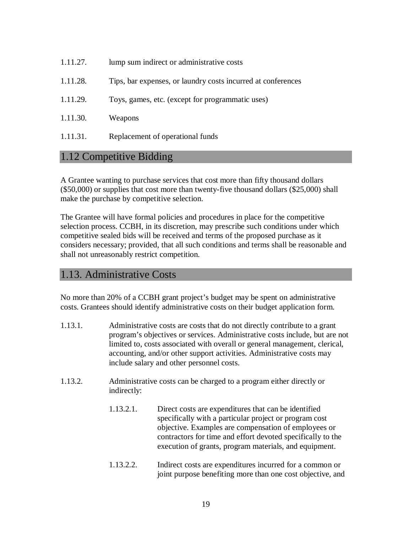| 1.11.27. | lump sum indirect or administrative costs                    |
|----------|--------------------------------------------------------------|
| 1.11.28. | Tips, bar expenses, or laundry costs incurred at conferences |
| 1.11.29. | Toys, games, etc. (except for programmatic uses)             |
| 1.11.30. | Weapons                                                      |
| 1.11.31. | Replacement of operational funds                             |

#### 1.12 Competitive Bidding

A Grantee wanting to purchase services that cost more than fifty thousand dollars (\$50,000) or supplies that cost more than twenty-five thousand dollars (\$25,000) shall make the purchase by competitive selection.

The Grantee will have formal policies and procedures in place for the competitive selection process. CCBH, in its discretion, may prescribe such conditions under which competitive sealed bids will be received and terms of the proposed purchase as it considers necessary; provided, that all such conditions and terms shall be reasonable and shall not unreasonably restrict competition.

#### 1.13. Administrative Costs

No more than 20% of a CCBH grant project's budget may be spent on administrative costs. Grantees should identify administrative costs on their budget application form.

- 1.13.1. Administrative costs are costs that do not directly contribute to a grant program's objectives or services. Administrative costs include, but are not limited to, costs associated with overall or general management, clerical, accounting, and/or other support activities. Administrative costs may include salary and other personnel costs.
- 1.13.2. Administrative costs can be charged to a program either directly or indirectly:
	- 1.13.2.1. Direct costs are expenditures that can be identified specifically with a particular project or program cost objective. Examples are compensation of employees or contractors for time and effort devoted specifically to the execution of grants, program materials, and equipment.
	- 1.13.2.2. Indirect costs are expenditures incurred for a common or joint purpose benefiting more than one cost objective, and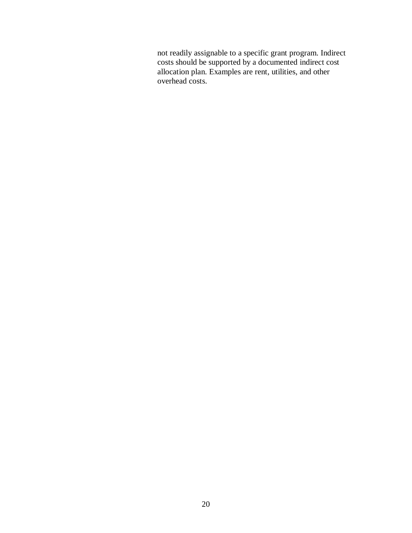not readily assignable to a specific grant program. Indirect costs should be supported by a documented indirect cost allocation plan. Examples are rent, utilities, and other overhead costs.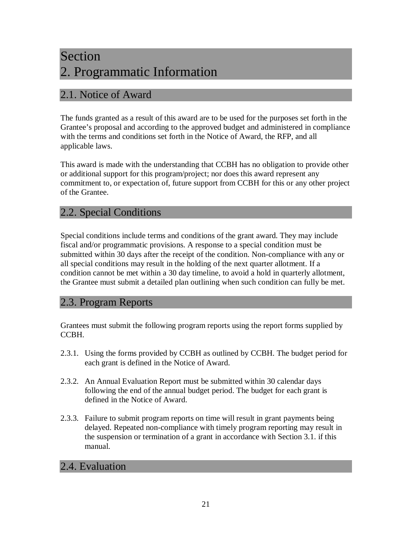## Section 2. Programmatic Information

#### 2.1. Notice of Award

The funds granted as a result of this award are to be used for the purposes set forth in the Grantee's proposal and according to the approved budget and administered in compliance with the terms and conditions set forth in the Notice of Award, the RFP, and all applicable laws.

This award is made with the understanding that CCBH has no obligation to provide other or additional support for this program/project; nor does this award represent any commitment to, or expectation of, future support from CCBH for this or any other project of the Grantee.

#### 2.2. Special Conditions

Special conditions include terms and conditions of the grant award. They may include fiscal and/or programmatic provisions. A response to a special condition must be submitted within 30 days after the receipt of the condition. Non-compliance with any or all special conditions may result in the holding of the next quarter allotment. If a condition cannot be met within a 30 day timeline, to avoid a hold in quarterly allotment, the Grantee must submit a detailed plan outlining when such condition can fully be met.

#### 2.3. Program Reports

Grantees must submit the following program reports using the report forms supplied by CCBH.

- 2.3.1. Using the forms provided by CCBH as outlined by CCBH. The budget period for each grant is defined in the Notice of Award.
- 2.3.2. An Annual Evaluation Report must be submitted within 30 calendar days following the end of the annual budget period. The budget for each grant is defined in the Notice of Award.
- 2.3.3. Failure to submit program reports on time will result in grant payments being delayed. Repeated non-compliance with timely program reporting may result in the suspension or termination of a grant in accordance with Section 3.1. if this manual.

#### 2.4. Evaluation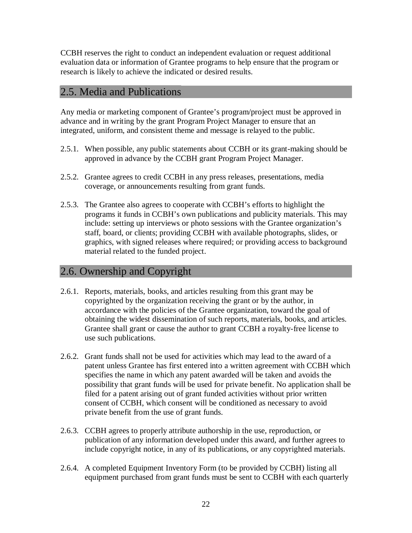CCBH reserves the right to conduct an independent evaluation or request additional evaluation data or information of Grantee programs to help ensure that the program or research is likely to achieve the indicated or desired results.

#### 2.5. Media and Publications

Any media or marketing component of Grantee's program/project must be approved in advance and in writing by the grant Program Project Manager to ensure that an integrated, uniform, and consistent theme and message is relayed to the public.

- 2.5.1. When possible, any public statements about CCBH or its grant-making should be approved in advance by the CCBH grant Program Project Manager.
- 2.5.2. Grantee agrees to credit CCBH in any press releases, presentations, media coverage, or announcements resulting from grant funds.
- 2.5.3. The Grantee also agrees to cooperate with CCBH's efforts to highlight the programs it funds in CCBH's own publications and publicity materials. This may include: setting up interviews or photo sessions with the Grantee organization's staff, board, or clients; providing CCBH with available photographs, slides, or graphics, with signed releases where required; or providing access to background material related to the funded project.

#### 2.6. Ownership and Copyright

- 2.6.1. Reports, materials, books, and articles resulting from this grant may be copyrighted by the organization receiving the grant or by the author, in accordance with the policies of the Grantee organization, toward the goal of obtaining the widest dissemination of such reports, materials, books, and articles. Grantee shall grant or cause the author to grant CCBH a royalty-free license to use such publications.
- 2.6.2. Grant funds shall not be used for activities which may lead to the award of a patent unless Grantee has first entered into a written agreement with CCBH which specifies the name in which any patent awarded will be taken and avoids the possibility that grant funds will be used for private benefit. No application shall be filed for a patent arising out of grant funded activities without prior written consent of CCBH, which consent will be conditioned as necessary to avoid private benefit from the use of grant funds.
- 2.6.3. CCBH agrees to properly attribute authorship in the use, reproduction, or publication of any information developed under this award, and further agrees to include copyright notice, in any of its publications, or any copyrighted materials.
- 2.6.4. A completed Equipment Inventory Form (to be provided by CCBH) listing all equipment purchased from grant funds must be sent to CCBH with each quarterly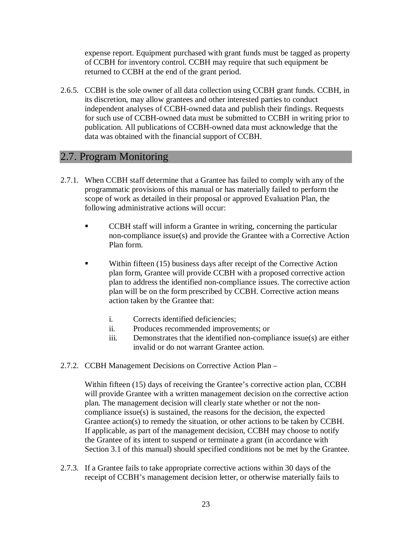expense report. Equipment purchased with grant funds must be tagged as property of CCBH for inventory control. CCBH may require that such equipment be returned to CCBH at the end of the grant period.

2.6.5. CCBH is the sole owner of all data collection using CCBH grant funds. CCBH, in its discretion, may allow grantees and other interested parties to conduct independent analyses of CCBH-owned data and publish their findings. Requests for such use of CCBH-owned data must be submitted to CCBH in writing prior to publication. All publications of CCBH-owned data must acknowledge that the data was obtained with the financial support of CCBH.

#### 2.7. Program Monitoring

- 2.7.1. When CCBH staff determine that a Grantee has failed to comply with any of the programmatic provisions of this manual or has materially failed to perform the scope of work as detailed in their proposal or approved Evaluation Plan, the following administrative actions will occur:
	- CCBH staff will inform a Grantee in writing, concerning the particular non-compliance issue(s) and provide the Grantee with a Corrective Action Plan form.
	- Within fifteen (15) business days after receipt of the Corrective Action plan form, Grantee will provide CCBH with a proposed corrective action plan to address the identified non-compliance issues. The corrective action plan will be on the form prescribed by CCBH. Corrective action means action taken by the Grantee that:
		- i. Corrects identified deficiencies;
		- ii. Produces recommended improvements; or
		- iii. Demonstrates that the identified non-compliance issue(s) are either invalid or do not warrant Grantee action.
- 2.7.2. CCBH Management Decisions on Corrective Action Plan –

Within fifteen (15) days of receiving the Grantee's corrective action plan, CCBH will provide Grantee with a written management decision on the corrective action plan. The management decision will clearly state whether or not the noncompliance issue(s) is sustained, the reasons for the decision, the expected Grantee action(s) to remedy the situation, or other actions to be taken by CCBH. If applicable, as part of the management decision, CCBH may choose to notify the Grantee of its intent to suspend or terminate a grant (in accordance with Section 3.1 of this manual) should specified conditions not be met by the Grantee.

2.7.3. If a Grantee fails to take appropriate corrective actions within 30 days of the receipt of CCBH's management decision letter, or otherwise materially fails to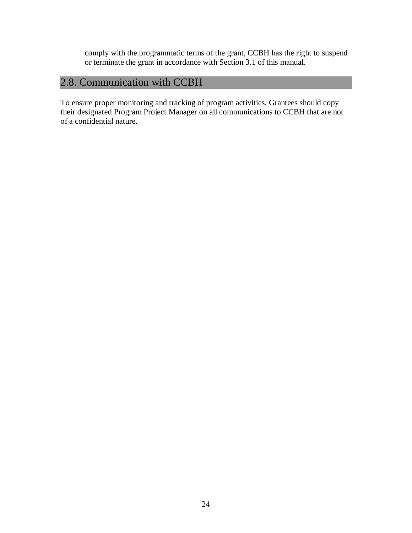comply with the programmatic terms of the grant, CCBH has the right to suspend or terminate the grant in accordance with Section 3.1 of this manual.

#### 2.8. Communication with CCBH

To ensure proper monitoring and tracking of program activities, Grantees should copy their designated Program Project Manager on all communications to CCBH that are not of a confidential nature.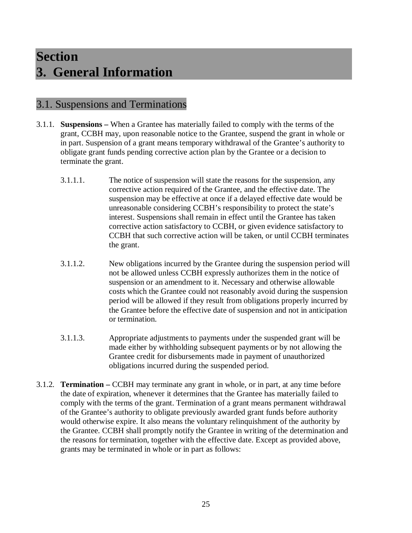### **Section 3. General Information**

#### 3.1. Suspensions and Terminations

- 3.1.1. **Suspensions –** When a Grantee has materially failed to comply with the terms of the grant, CCBH may, upon reasonable notice to the Grantee, suspend the grant in whole or in part. Suspension of a grant means temporary withdrawal of the Grantee's authority to obligate grant funds pending corrective action plan by the Grantee or a decision to terminate the grant.
	- 3.1.1.1. The notice of suspension will state the reasons for the suspension, any corrective action required of the Grantee, and the effective date. The suspension may be effective at once if a delayed effective date would be unreasonable considering CCBH's responsibility to protect the state's interest. Suspensions shall remain in effect until the Grantee has taken corrective action satisfactory to CCBH, or given evidence satisfactory to CCBH that such corrective action will be taken, or until CCBH terminates the grant.
	- 3.1.1.2. New obligations incurred by the Grantee during the suspension period will not be allowed unless CCBH expressly authorizes them in the notice of suspension or an amendment to it. Necessary and otherwise allowable costs which the Grantee could not reasonably avoid during the suspension period will be allowed if they result from obligations properly incurred by the Grantee before the effective date of suspension and not in anticipation or termination.
	- 3.1.1.3. Appropriate adjustments to payments under the suspended grant will be made either by withholding subsequent payments or by not allowing the Grantee credit for disbursements made in payment of unauthorized obligations incurred during the suspended period.
- 3.1.2. **Termination –** CCBH may terminate any grant in whole, or in part, at any time before the date of expiration, whenever it determines that the Grantee has materially failed to comply with the terms of the grant. Termination of a grant means permanent withdrawal of the Grantee's authority to obligate previously awarded grant funds before authority would otherwise expire. It also means the voluntary relinquishment of the authority by the Grantee. CCBH shall promptly notify the Grantee in writing of the determination and the reasons for termination, together with the effective date. Except as provided above, grants may be terminated in whole or in part as follows: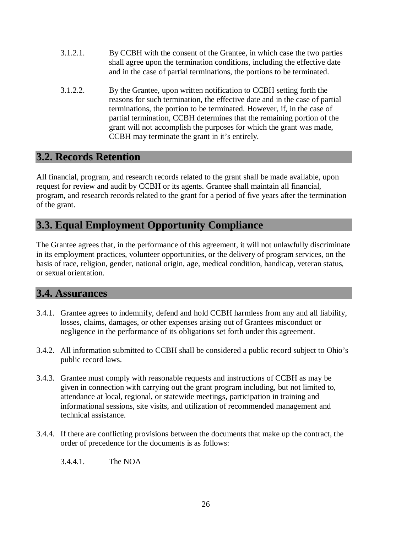- 3.1.2.1. By CCBH with the consent of the Grantee, in which case the two parties shall agree upon the termination conditions, including the effective date and in the case of partial terminations, the portions to be terminated.
- 3.1.2.2. By the Grantee, upon written notification to CCBH setting forth the reasons for such termination, the effective date and in the case of partial terminations, the portion to be terminated. However, if, in the case of partial termination, CCBH determines that the remaining portion of the grant will not accomplish the purposes for which the grant was made, CCBH may terminate the grant in it's entirely.

#### **3.2. Records Retention**

All financial, program, and research records related to the grant shall be made available, upon request for review and audit by CCBH or its agents. Grantee shall maintain all financial, program, and research records related to the grant for a period of five years after the termination of the grant.

#### **3.3. Equal Employment Opportunity Compliance**

The Grantee agrees that, in the performance of this agreement, it will not unlawfully discriminate in its employment practices, volunteer opportunities, or the delivery of program services, on the basis of race, religion, gender, national origin, age, medical condition, handicap, veteran status, or sexual orientation.

#### **3.4. Assurances**

- 3.4.1. Grantee agrees to indemnify, defend and hold CCBH harmless from any and all liability, losses, claims, damages, or other expenses arising out of Grantees misconduct or negligence in the performance of its obligations set forth under this agreement.
- 3.4.2. All information submitted to CCBH shall be considered a public record subject to Ohio's public record laws.
- 3.4.3. Grantee must comply with reasonable requests and instructions of CCBH as may be given in connection with carrying out the grant program including, but not limited to, attendance at local, regional, or statewide meetings, participation in training and informational sessions, site visits, and utilization of recommended management and technical assistance.
- 3.4.4. If there are conflicting provisions between the documents that make up the contract, the order of precedence for the documents is as follows:

3.4.4.1. The NOA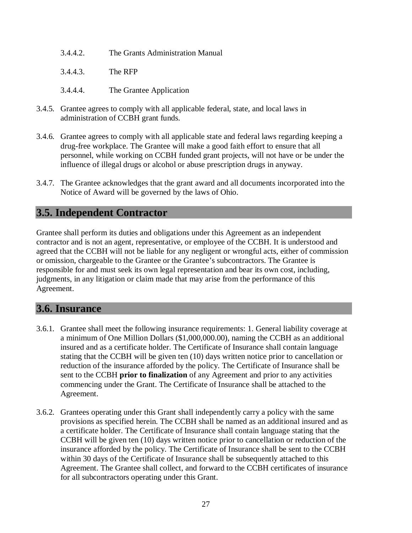- 3.4.4.2. The Grants Administration Manual
- 3.4.4.3. The RFP
- 3.4.4.4. The Grantee Application
- 3.4.5. Grantee agrees to comply with all applicable federal, state, and local laws in administration of CCBH grant funds.
- 3.4.6. Grantee agrees to comply with all applicable state and federal laws regarding keeping a drug-free workplace. The Grantee will make a good faith effort to ensure that all personnel, while working on CCBH funded grant projects, will not have or be under the influence of illegal drugs or alcohol or abuse prescription drugs in anyway.
- 3.4.7. The Grantee acknowledges that the grant award and all documents incorporated into the Notice of Award will be governed by the laws of Ohio.

#### **3.5. Independent Contractor**

Grantee shall perform its duties and obligations under this Agreement as an independent contractor and is not an agent, representative, or employee of the CCBH. It is understood and agreed that the CCBH will not be liable for any negligent or wrongful acts, either of commission or omission, chargeable to the Grantee or the Grantee's subcontractors. The Grantee is responsible for and must seek its own legal representation and bear its own cost, including, judgments, in any litigation or claim made that may arise from the performance of this Agreement.

#### **3.6. Insurance**

- 3.6.1. Grantee shall meet the following insurance requirements: 1. General liability coverage at a minimum of One Million Dollars (\$1,000,000.00), naming the CCBH as an additional insured and as a certificate holder. The Certificate of Insurance shall contain language stating that the CCBH will be given ten (10) days written notice prior to cancellation or reduction of the insurance afforded by the policy. The Certificate of Insurance shall be sent to the CCBH **prior to finalization** of any Agreement and prior to any activities commencing under the Grant. The Certificate of Insurance shall be attached to the Agreement.
- 3.6.2. Grantees operating under this Grant shall independently carry a policy with the same provisions as specified herein. The CCBH shall be named as an additional insured and as a certificate holder. The Certificate of Insurance shall contain language stating that the CCBH will be given ten (10) days written notice prior to cancellation or reduction of the insurance afforded by the policy. The Certificate of Insurance shall be sent to the CCBH within 30 days of the Certificate of Insurance shall be subsequently attached to this Agreement. The Grantee shall collect, and forward to the CCBH certificates of insurance for all subcontractors operating under this Grant.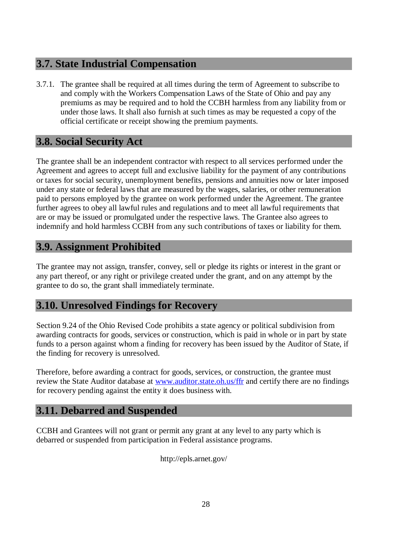#### **3.7. State Industrial Compensation**

3.7.1. The grantee shall be required at all times during the term of Agreement to subscribe to and comply with the Workers Compensation Laws of the State of Ohio and pay any premiums as may be required and to hold the CCBH harmless from any liability from or under those laws. It shall also furnish at such times as may be requested a copy of the official certificate or receipt showing the premium payments.

#### **3.8. Social Security Act**

The grantee shall be an independent contractor with respect to all services performed under the Agreement and agrees to accept full and exclusive liability for the payment of any contributions or taxes for social security, unemployment benefits, pensions and annuities now or later imposed under any state or federal laws that are measured by the wages, salaries, or other remuneration paid to persons employed by the grantee on work performed under the Agreement. The grantee further agrees to obey all lawful rules and regulations and to meet all lawful requirements that are or may be issued or promulgated under the respective laws. The Grantee also agrees to indemnify and hold harmless CCBH from any such contributions of taxes or liability for them.

#### **3.9. Assignment Prohibited**

The grantee may not assign, transfer, convey, sell or pledge its rights or interest in the grant or any part thereof, or any right or privilege created under the grant, and on any attempt by the grantee to do so, the grant shall immediately terminate.

#### **3.10. Unresolved Findings for Recovery**

Section 9.24 of the Ohio Revised Code prohibits a state agency or political subdivision from awarding contracts for goods, services or construction, which is paid in whole or in part by state funds to a person against whom a finding for recovery has been issued by the Auditor of State, if the finding for recovery is unresolved.

Therefore, before awarding a contract for goods, services, or construction, the grantee must review the State Auditor database at www.auditor.state.oh.us/ffr and certify there are no findings for recovery pending against the entity it does business with.

#### **3.11. Debarred and Suspended**

CCBH and Grantees will not grant or permit any grant at any level to any party which is debarred or suspended from participation in Federal assistance programs.

http://epls.arnet.gov/